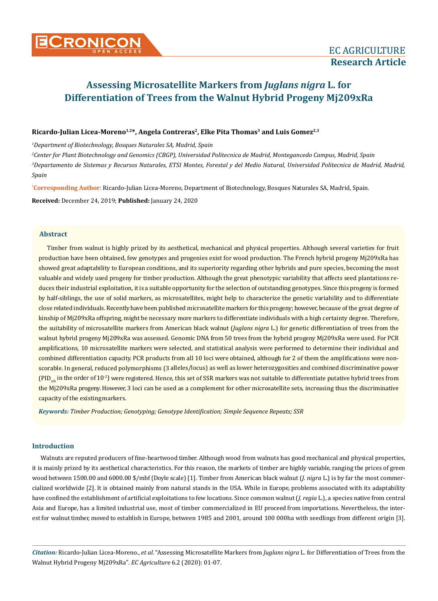# **Assessing Microsatellite Markers from** *Juglans nigra* **L. for Differentiation of Trees from the Walnut Hybrid Progeny Mj209xRa**

# Ricardo-Julian Licea-Moreno<sup>1,2\*</sup>, Angela Contreras<sup>2</sup>, Elke Pita Thomas<sup>3</sup> and Luis Gomez<sup>2,3</sup>

*1 Department of Biotechnology, Bosques Naturales SA, Madrid, Spain*

*2 Center for Plant Biotechnology and Genomics (CBGP), Universidad Politecnica de Madrid, Montegancedo Campus, Madrid, Spain* <sup>3</sup>Departamento de Sistemas y Recursos Naturales, ETSI Montes, Forestal y del Medio Natural, Universidad Politecnica de Madrid, Madrid, *Spain*

**\* Corresponding Author**: Ricardo-Julian Licea-Moreno, Department of Biotechnology, Bosques Naturales SA, Madrid, Spain.

**Received:** December 24, 2019; **Published:** January 24, 2020

## **Abstract**

Timber from walnut is highly prized by its aesthetical, mechanical and physical properties. Although several varieties for fruit production have been obtained, few genotypes and progenies exist for wood production. The French hybrid progeny Mj209xRa has showed great adaptability to European conditions, and its superiority regarding other hybrids and pure species, becoming the most valuable and widely used progeny for timber production. Although the great phenotypic variability that affects seed plantations reduces their industrial exploitation, it is a suitable opportunity for the selection of outstanding genotypes. Since this progeny is formed by half-siblings, the use of solid markers, as microsatellites, might help to characterize the genetic variability and to differentiate close related individuals. Recently have been published microsatellite markers for this progeny; however, because of the great degree of kinship of Mj209xRa offspring, might be necessary more markers to differentiate individuals with a high certainty degree. Therefore, the suitability of microsatellite markers from American black walnut (*Juglans nigra* L.) for genetic differentiation of trees from the walnut hybrid progeny Mj209xRa was assessed. Genomic DNA from 50 trees from the hybrid progeny Mj209xRa were used. For PCR amplifications, 10 microsatellite markers were selected, and statistical analysis were performed to determine their individual and combined differentiation capacity. PCR products from all 10 loci were obtained, although for 2 of them the amplifications were nonscorable. In general, reduced polymorphisms (3 alleles/locus) as well as lower heterozygosities and combined discriminative power  $(PID_{\text{min}}$  in the order of  $10^{-2}$ ) were registered. Hence, this set of SSR markers was not suitable to differentiate putative hybrid trees from the Mj209xRa progeny. However, 3 loci can be used as a complement for other microsatellite sets, increasing thus the discriminative capacity of the existing markers.

*Keywords: Timber Production; Genotyping; Genotype Identification; Simple Sequence Repeats; SSR*

## **Introduction**

Walnuts are reputed producers of fine-heartwood timber. Although wood from walnuts has good mechanical and physical properties, it is mainly prized by its aesthetical characteristics. For this reason, the markets of timber are highly variable, ranging the prices of green wood between 1500.00 and 6000.00 \$/mbf (Doyle scale) [1]. Timber from American black walnut (*J. nigra* L.) is by far the most commercialized worldwide [2]. It is obtained mainly from natural stands in the USA. While in Europe, problems associated with its adaptability have confined the establishment of artificial exploitations to few locations. Since common walnut (*J. regia* L.), a species native from central Asia and Europe, has a limited industrial use, most of timber commercialized in EU proceed from importations. Nevertheless, the interest for walnut timber, moved to establish in Europe, between 1985 and 2001, around 100 000ha with seedlings from different origin [3].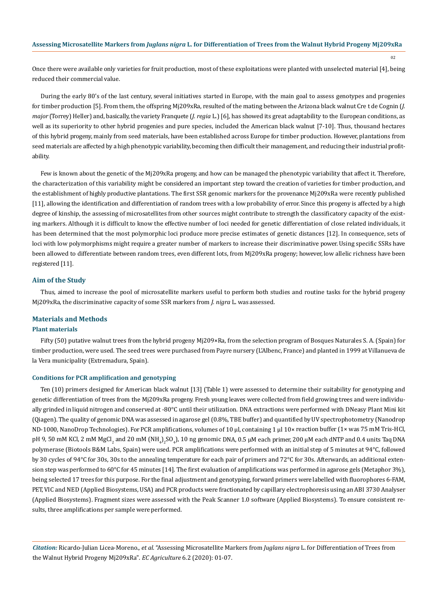Once there were available only varieties for fruit production, most of these exploitations were planted with unselected material [4], being reduced their commercial value.

During the early 80's of the last century, several initiatives started in Europe, with the main goal to assess genotypes and progenies for timber production [5]. From them, the offspring Mj209xRa, resulted of the mating between the Arizona black walnut Cre t de Cognin (*J. major* (Torrey) Heller) and, basically, the variety Franquete (*J. regia* L.) [6], has showed its great adaptability to the European conditions, as well as its superiority to other hybrid progenies and pure species, included the American black walnut [7-10]. Thus, thousand hectares of this hybrid progeny, mainly from seed materials, have been established across Europe for timber production. However, plantations from seed materials are affected by a high phenotypic variability, becoming then difficult their management, and reducing their industrial profitability.

Few is known about the genetic of the Mj209xRa progeny, and how can be managed the phenotypic variability that affect it. Therefore, the characterization of this variability might be considered an important step toward the creation of varieties for timber production, and the establishment of highly productive plantations. The first SSR genomic markers for the provenance Mj209xRa were recently published [11], allowing the identification and differentiation of random trees with a low probability of error. Since this progeny is affected by a high degree of kinship, the assessing of microsatellites from other sources might contribute to strength the classificatory capacity of the existing markers. Although it is difficult to know the effective number of loci needed for genetic differentiation of close related individuals, it has been determined that the most polymorphic loci produce more precise estimates of genetic distances [12]. In consequence, sets of loci with low polymorphisms might require a greater number of markers to increase their discriminative power. Using specific SSRs have been allowed to differentiate between random trees, even different lots, from Mj209xRa progeny; however, low allelic richness have been registered [11].

#### **Aim of the Study**

Thus, aimed to increase the pool of microsatellite markers useful to perform both studies and routine tasks for the hybrid progeny Mj209xRa, the discriminative capacity of some SSR markers from *J. nigra* L. was assessed.

#### **Materials and Methods**

#### **Plant materials**

Fifty (50) putative walnut trees from the hybrid progeny Mj209×Ra, from the selection program of Bosques Naturales S. A. (Spain) for timber production, were used. The seed trees were purchased from Payre nursery (L'Albenc, France) and planted in 1999 at Villanueva de la Vera municipality (Extremadura, Spain).

#### **Conditions for PCR amplification and genotyping**

Ten (10) primers designed for American black walnut [13] (Table 1) were assessed to determine their suitability for genotyping and genetic differentiation of trees from the Mj209xRa progeny. Fresh young leaves were collected from field growing trees and were individually grinded in liquid nitrogen and conserved at -80°C until their utilization. DNA extractions were performed with DNeasy Plant Mini kit (Qiagen). The quality of genomic DNA was assessed in agarose gel (0.8%, TBE buffer) and quantified by UV spectrophotometry (Nanodrop ND-1000, NanoDrop Technologies). For PCR amplifications, volumes of 10 μl, containing 1 μl 10× reaction buffer (1× was 75 mM Tris-HCl, pH 9, 50 mM KCl, 2 mM MgCl<sub>2</sub> and 20 mM (NH<sub>4</sub>)<sub>2</sub>SO<sub>4</sub>), 10 ng genomic DNA, 0.5 µM each primer, 200 µM each dNTP and 0.4 units Taq DNA polymerase (Biotools B&M Labs, Spain) were used. PCR amplifications were performed with an initial step of 5 minutes at 94°C, followed by 30 cycles of 94°C for 30s, 30s to the annealing temperature for each pair of primers and 72°C for 30s. Afterwards, an additional extension step was performed to 60°C for 45 minutes [14]. The first evaluation of amplifications was performed in agarose gels (Metaphor 3%), being selected 17 trees for this purpose. For the final adjustment and genotyping, forward primers were labelled with fluorophores 6-FAM, PET, VIC and NED (Applied Biosystems, USA) and PCR products were fractionated by capillary electrophoresis using an ABI 3730 Analyser (Applied Biosystems). Fragment sizes were assessed with the Peak Scanner 1.0 software (Applied Biosystems). To ensure consistent results, three amplifications per sample were performed.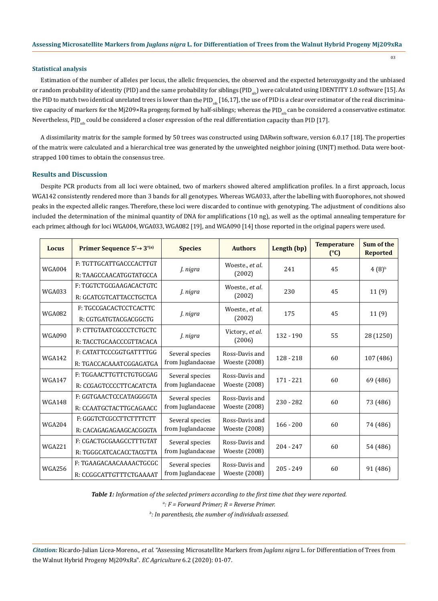#### **Statistical analysis**

Estimation of the number of alleles per locus, the allelic frequencies, the observed and the expected heterozygosity and the unbiased or random probability of identity (PID) and the same probability for siblings (PID<sub>ab</sub>) were calculated using IDENTITY 1.0 software [15]. As the PID to match two identical unrelated trees is lower than the PID<sub>sib</sub> [16,17], the use of PID is a clear over estimator of the real discriminative capacity of markers for the Mj209×Ra progeny, formed by half-siblings; whereas the PID<sub>sib</sub> can be considered a conservative estimator. Nevertheless, PID<sub>sib</sub> could be considered a closer expression of the real differentiation capacity than PID [17].

A dissimilarity matrix for the sample formed by 50 trees was constructed using DARwin software, version 6.0.17 [18]. The properties of the matrix were calculated and a hierarchical tree was generated by the unweighted neighbor joining (UNJT) method. Data were bootstrapped 100 times to obtain the consensus tree.

#### **Results and Discussion**

Despite PCR products from all loci were obtained, two of markers showed altered amplification profiles. In a first approach, locus WGA142 consistently rendered more than 3 bands for all genotypes. Whereas WGA033, after the labelling with fluorophores, not showed peaks in the expected allelic ranges. Therefore, these loci were discarded to continue with genotyping. The adjustment of conditions also included the determination of the minimal quantity of DNA for amplifications (10 ng), as well as the optimal annealing temperature for each primer, although for loci WGA004, WGA033, WGA082 [19], and WGA090 [14] those reported in the original papers were used.

| Locus         | Primer Sequence $5' \rightarrow 3'$ <sup>(a)</sup> | <b>Species</b>    | <b>Authors</b>                  | Length (bp) | <b>Temperature</b><br>(C) | Sum of the<br><b>Reported</b> |
|---------------|----------------------------------------------------|-------------------|---------------------------------|-------------|---------------------------|-------------------------------|
| <b>WGA004</b> | F: TGTTGCATTGACCCACTTGT                            | J. nigra          | Woeste., et al.<br>(2002)       | 241         | 45                        | (4(8) <sup>b</sup>            |
|               | R: TAAGCCAACATGGTATGCCA                            |                   |                                 |             |                           |                               |
| <b>WGA033</b> | F: TGGTCTGCGAAGACACTGTC                            |                   | Woeste., et al.<br>(2002)       | 230         | 45                        | 11(9)                         |
|               | R: GCATCGTCATTACCTGCTCA                            | J. nigra          |                                 |             |                           |                               |
| <b>WGA082</b> | F: TGCCGACACTCCTCACTTC                             |                   | Woeste., et al.<br>(2002)       | 175         | 45                        | 11(9)                         |
|               | R: CGTGATGTACGACGGCTG                              | J. nigra          |                                 |             |                           |                               |
| <b>WGA090</b> | F: CTTGTAATCGCCCTCTGCTC                            |                   | Victory., et al.<br>(2006)      | $132 - 190$ | 55                        | 28 (1250)                     |
|               | R: TACCTGCAACCCGTTACACA                            | J. nigra          |                                 |             |                           |                               |
| <b>WGA142</b> | F: CATATTCCCGGTGATTTTGG                            | Several species   | Ross-Davis and<br>Woeste (2008) | $128 - 218$ | 60                        | 107 (486)                     |
|               | R: TGACCACAAATCGGAGATGA                            | from Juglandaceae |                                 |             |                           |                               |
| <b>WGA147</b> | F: TGGAACTTGTTCTGTGCGAG                            | Several species   | Ross-Davis and                  | $171 - 221$ | 60                        | 69 (486)                      |
|               | R: CCGAGTCCCCTTCACATCTA                            | from Juglandaceae | Woeste (2008)                   |             |                           |                               |
| <b>WGA148</b> | F: GGTGAACTCCCATAGGGGTA                            | Several species   | Ross-Davis and                  | $230 - 282$ | 60                        | 73 (486)                      |
|               | R: CCAATGCTACTTGCAGAACC                            | from Juglandaceae | Woeste (2008)                   |             |                           |                               |
| <b>WGA204</b> | F: GGGTCTCGCCTTCTTTTCTT                            | Several species   | Ross-Davis and                  | $166 - 200$ | 60                        | 74 (486)                      |
|               | R: CACAGAGAGAAGCACGGGTA                            | from Juglandaceae | Woeste (2008)                   |             |                           |                               |
| <b>WGA221</b> | F: CGACTGCGAAGCCTTTGTAT                            | Several species   | Ross-Davis and                  | $204 - 247$ | 60                        | 54 (486)                      |
|               | R: TGGGCATCACACCTACGTTA                            | from Juglandaceae | Woeste (2008)                   |             |                           |                               |
| <b>WGA256</b> | F: TGAAGACAACAAAACTGCGC                            | Several species   | Ross-Davis and                  |             | 60                        | 91 (486)                      |
|               | R: CCGGCATTGTTTCTGAAAAT                            | from Juglandaceae | Woeste (2008)                   | $205 - 249$ |                           |                               |

*Table 1: Information of the selected primers according to the first time that they were reported.*

*a : F = Forward Primer; R = Reverse Primer.*

*b : In parenthesis, the number of individuals assessed.*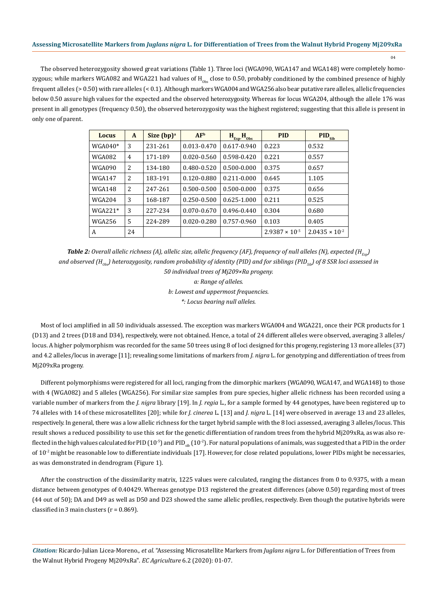The observed heterozygosity showed great variations (Table 1). Three loci (WGA090, WGA147 and WGA148) were completely homozygous; while markers WGA082 and WGA221 had values of  $H_{obs}$  close to 0.50, probably conditioned by the combined presence of highly frequent alleles (> 0.50) with rare alleles (< 0.1). Although markers WGA004 and WGA256 also bear putative rare alleles, allelic frequencies below 0.50 assure high values for the expected and the observed heterozygosity. Whereas for locus WGA204, although the allele 176 was present in all genotypes (frequency 0.50), the observed heterozygosity was the highest registered; suggesting that this allele is present in only one of parent.

| Locus         | A              | Size $(bp)^a$ | AF <sup>b</sup> | $H_{Exp}$ - $H_{Obs}$ | <b>PID</b>              | PID <sub>Sib</sub>      |
|---------------|----------------|---------------|-----------------|-----------------------|-------------------------|-------------------------|
| $WGA040*$     | 3              | 231-261       | $0.013 - 0.470$ | $0.617 - 0.940$       | 0.223                   | 0.532                   |
| <b>WGA082</b> | $\overline{4}$ | 171-189       | 0.020-0.560     | 0.598-0.420           | 0.221                   | 0.557                   |
| <b>WGA090</b> | 2              | 134-180       | 0.480-0.520     | 0.500-0.000           | 0.375                   | 0.657                   |
| <b>WGA147</b> | 2              | 183-191       | 0.120-0.880     | $0.211 - 0.000$       | 0.645                   | 1.105                   |
| WGA148        | 2              | 247-261       | 0.500-0.500     | $0.500 - 0.000$       | 0.375                   | 0.656                   |
| WGA204        | 3              | 168-187       | 0.250-0.500     | $0.625 - 1.000$       | 0.211                   | 0.525                   |
| $WGA221*$     | 3              | 227-234       | 0.070-0.670     | $0.496 - 0.440$       | 0.304                   | 0.680                   |
| <b>WGA256</b> | 5              | 224-289       | 0.020-0.280     | 0.757-0.960           | 0.103                   | 0.405                   |
| A             | 24             |               |                 |                       | $2.9387 \times 10^{-5}$ | $2.0435 \times 10^{-2}$ |

*Table 2: Overall allelic richness (A), allelic size, allelic frequency (AF), frequency of null alleles (N), expected (H<sub>Exp</sub>) and observed (HObs) heterozygosity, random probability of identity (PID) and for siblings (PIDSib) of 8 SSR loci assessed in 50 individual trees of Mj209×Ra progeny. a: Range of alleles. b: Lowest and uppermost frequencies. \*: Locus bearing null alleles.*

Most of loci amplified in all 50 individuals assessed. The exception was markers WGA004 and WGA221, once their PCR products for 1 (D13) and 2 trees (D18 and D34), respectively, were not obtained. Hence, a total of 24 different alleles were observed, averaging 3 alleles/ locus. A higher polymorphism was recorded for the same 50 trees using 8 of loci designed for this progeny, registering 13 more alleles (37) and 4.2 alleles/locus in average [11]; revealing some limitations of markers from *J. nigra* L. for genotyping and differentiation of trees from Mj209xRa progeny.

Different polymorphisms were registered for all loci, ranging from the dimorphic markers (WGA090, WGA147, and WGA148) to those with 4 (WGA082) and 5 alleles (WGA256). For similar size samples from pure species, higher allelic richness has been recorded using a variable number of markers from the *J. nigra* library [19]. In *J. regia* L., for a sample formed by 44 genotypes, have been registered up to 74 alleles with 14 of these microsatellites [20]; while for *J. cinerea* L. [13] and *J. nigra* L. [14] were observed in average 13 and 23 alleles, respectively. In general, there was a low allelic richness for the target hybrid sample with the 8 loci assessed, averaging 3 alleles/locus. This result shows a reduced possibility to use this set for the genetic differentiation of random trees from the hybrid Mj209xRa, as was also reflected in the high values calculated for PID (10<sup>-5</sup>) and PID<sub>sib</sub> (10<sup>-2</sup>). For natural populations of animals, was suggested that a PID in the order of  $10<sup>2</sup>$  might be reasonable low to differentiate individuals [17]. However, for close related populations, lower PIDs might be necessaries, as was demonstrated in dendrogram (Figure 1).

After the construction of the dissimilarity matrix, 1225 values were calculated, ranging the distances from 0 to 0.9375, with a mean distance between genotypes of 0.40429. Whereas genotype D13 registered the greatest differences (above 0.50) regarding most of trees (44 out of 50); DA and D49 as well as D50 and D23 showed the same allelic profiles, respectively. Even though the putative hybrids were classified in 3 main clusters ( $r = 0.869$ ).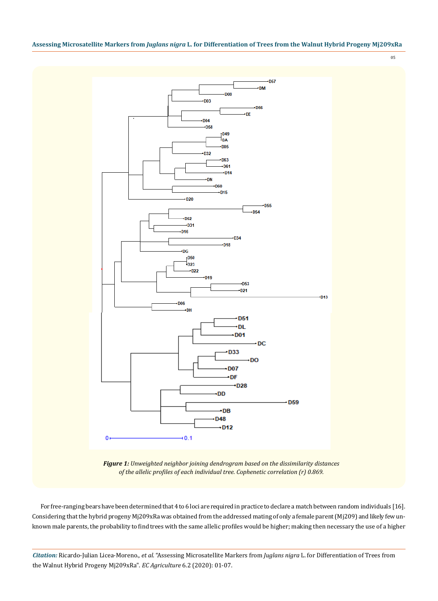



*Figure 1: Unweighted neighbor joining dendrogram based on the dissimilarity distances of the allelic profiles of each individual tree. Cophenetic correlation (r) 0.869.*

For free-ranging bears have been determined that 4 to 6 loci are required in practice to declare a match between random individuals [16]. Considering that the hybrid progeny Mj209xRa was obtained from the addressed mating of only a female parent (Mj209) and likely few unknown male parents, the probability to find trees with the same allelic profiles would be higher; making then necessary the use of a higher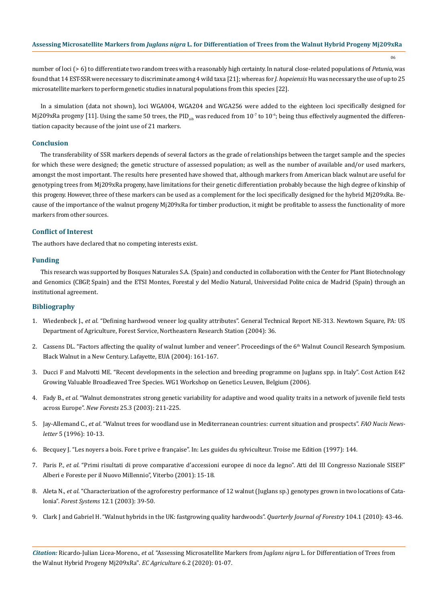number of loci (> 6) to differentiate two random trees with a reasonably high certainty. In natural close-related populations of *Petunia*, was found that 14 EST-SSR were necessary to discriminate among 4 wild taxa [21]; whereas for *J. hopeiensis* Hu was necessary the use of up to 25 microsatellite markers to perform genetic studies in natural populations from this species [22].

In a simulation (data not shown), loci WGA004, WGA204 and WGA256 were added to the eighteen loci specifically designed for Mj209xRa progeny [11]. Using the same 50 trees, the PID<sub>sib</sub> was reduced from 10<sup>-7</sup> to 10<sup>-6</sup>; being thus effectively augmented the differentiation capacity because of the joint use of 21 markers.

## **Conclusion**

The transferability of SSR markers depends of several factors as the grade of relationships between the target sample and the species for which these were designed; the genetic structure of assessed population; as well as the number of available and/or used markers, amongst the most important. The results here presented have showed that, although markers from American black walnut are useful for genotyping trees from Mj209xRa progeny, have limitations for their genetic differentiation probably because the high degree of kinship of this progeny. However, three of these markers can be used as a complement for the loci specifically designed for the hybrid Mj209xRa. Because of the importance of the walnut progeny Mj209xRa for timber production, it might be profitable to assess the functionality of more markers from other sources.

# **Conflict of Interest**

The authors have declared that no competing interests exist.

#### **Funding**

This research was supported by Bosques Naturales S.A. (Spain) and conducted in collaboration with the Center for Plant Biotechnology and Genomics (CBGP, Spain) and the ETSI Montes, Forestal y del Medio Natural, Universidad Polite cnica de Madrid (Spain) through an institutional agreement.

#### **Bibliography**

- 1. Wiedenbeck J., *et al*[. "Defining hardwood veneer log quality attributes". General Technical Report NE-313. Newtown Square, PA: US](https://www.fs.fed.us/ne/newtown_square/publications/technical_reports/pdfs/2004/ne_gtr313.pdf) [Department of Agriculture, Forest Service, Northeastern Research Station \(2004\): 36.](https://www.fs.fed.us/ne/newtown_square/publications/technical_reports/pdfs/2004/ne_gtr313.pdf)
- 2. [Cassens DL. "Factors affecting the quality of walnut lumber and veneer". Proceedings of the 6](https://www.nrs.fs.fed.us/pubs/gtr/gtr_nc243/gtr_nc243_161.pdf)<sup>th</sup> Walnut Council Research Symposium. [Black Walnut in a New Century. Lafayette, EUA \(2004\): 161-167.](https://www.nrs.fs.fed.us/pubs/gtr/gtr_nc243/gtr_nc243_161.pdf)
- 3. [Ducci F and Malvotti ME. "Recent developments in the selection and breeding programme on Juglans spp. in Italy". Cost Action E42](http://www.valbro.uni-freiburg.de/pdf/juglans_in_italy.pdf) [Growing Valuable Broadleaved Tree Species. WG1 Workshop on Genetics Leuven, Belgium \(2006\).](http://www.valbro.uni-freiburg.de/pdf/juglans_in_italy.pdf)
- 4. Fady B., *et al*[. "Walnut demonstrates strong genetic variability for adaptive and wood quality traits in a network of juvenile field tests](https://link.springer.com/article/10.1023/A:1022939609548) across Europe". *New Forests* [25.3 \(2003\): 211-225.](https://link.springer.com/article/10.1023/A:1022939609548)
- 5. Jay-Allemand C., *et al*. "Walnut trees for woodland use in Mediterranean countries: current situation and prospects". *FAO Nucis Newsletter* 5 (1996): 10-13.
- 6. Becquey J. "Les noyers a bois. Fore t prive e française". In: Les guides du sylviculteur. Troise me Edition (1997): 144.
- 7. Paris P., *et al*[. "Primi risultati di prove comparative d'accessioni europee di noce da legno". Atti del III Congresso Nazionale SISEF"](https://www.researchgate.net/publication/328149744_Primi_risultati_di_prove_comparative_d)  [Alberi e Foreste per il Nuovo Millennio", Viterbo \(2001\): 15-18.](https://www.researchgate.net/publication/328149744_Primi_risultati_di_prove_comparative_d)
- 8. Aleta N., *et al*[. "Characterization of the agroforestry performance of 12 walnut \(Juglans sp.\) genotypes grown in two locations of Cata](http://revistas.inia.es/index.php/fs/article/viewFile/786/783)lonia". *Forest Systems* [12.1 \(2003\): 39-50.](http://revistas.inia.es/index.php/fs/article/viewFile/786/783)
- 9. [Clark J and Gabriel H. "Walnut hybrids in the UK: fastgrowing quality hardwoods".](https://www.researchgate.net/publication/235710730_Walnut_hybrids_in_the_UK_fast_growing_quality_hardwoods) *Quarterly Journal of Forestry* 104.1 (2010): 43-46.